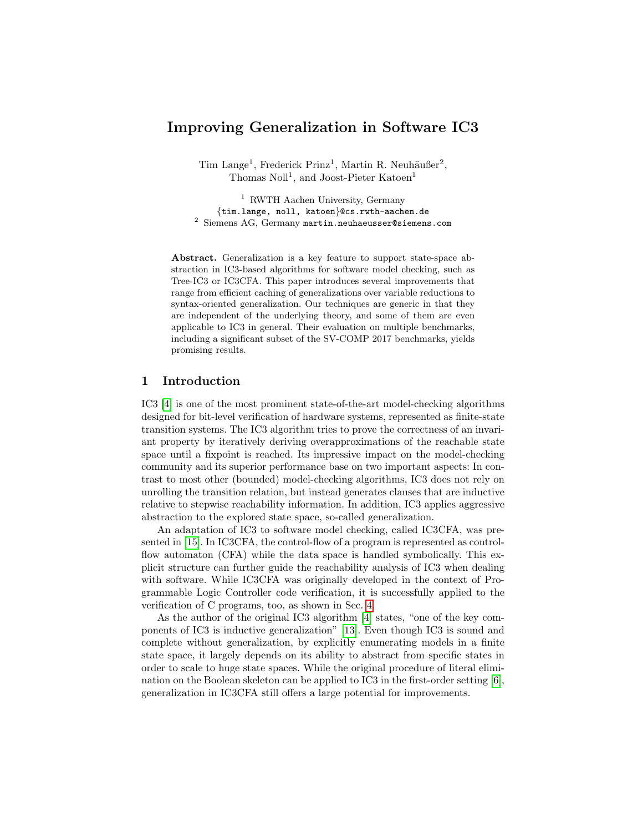# Improving Generalization in Software IC3

Tim Lange<sup>1</sup>, Frederick Prinz<sup>1</sup>, Martin R. Neuhäußer<sup>2</sup>, Thomas Noll<sup>1</sup>, and Joost-Pieter Katoen<sup>1</sup>

<sup>1</sup> RWTH Aachen University, Germany {tim.lange, noll, katoen}@cs.rwth-aachen.de <sup>2</sup> Siemens AG, Germany martin.neuhaeusser@siemens.com

Abstract. Generalization is a key feature to support state-space abstraction in IC3-based algorithms for software model checking, such as Tree-IC3 or IC3CFA. This paper introduces several improvements that range from efficient caching of generalizations over variable reductions to syntax-oriented generalization. Our techniques are generic in that they are independent of the underlying theory, and some of them are even applicable to IC3 in general. Their evaluation on multiple benchmarks, including a significant subset of the SV-COMP 2017 benchmarks, yields promising results.

### 1 Introduction

IC3 [\[4\]](#page-15-0) is one of the most prominent state-of-the-art model-checking algorithms designed for bit-level verification of hardware systems, represented as finite-state transition systems. The IC3 algorithm tries to prove the correctness of an invariant property by iteratively deriving overapproximations of the reachable state space until a fixpoint is reached. Its impressive impact on the model-checking community and its superior performance base on two important aspects: In contrast to most other (bounded) model-checking algorithms, IC3 does not rely on unrolling the transition relation, but instead generates clauses that are inductive relative to stepwise reachability information. In addition, IC3 applies aggressive abstraction to the explored state space, so-called generalization.

An adaptation of IC3 to software model checking, called IC3CFA, was presented in [\[15\]](#page-15-1). In IC3CFA, the control-flow of a program is represented as controlflow automaton (CFA) while the data space is handled symbolically. This explicit structure can further guide the reachability analysis of IC3 when dealing with software. While IC3CFA was originally developed in the context of Programmable Logic Controller code verification, it is successfully applied to the verification of C programs, too, as shown in Sec. [4.](#page-11-0)

As the author of the original IC3 algorithm [\[4\]](#page-15-0) states, "one of the key components of IC3 is inductive generalization" [\[13\]](#page-15-2). Even though IC3 is sound and complete without generalization, by explicitly enumerating models in a finite state space, it largely depends on its ability to abstract from specific states in order to scale to huge state spaces. While the original procedure of literal elimination on the Boolean skeleton can be applied to IC3 in the first-order setting [\[6\]](#page-15-3), generalization in IC3CFA still offers a large potential for improvements.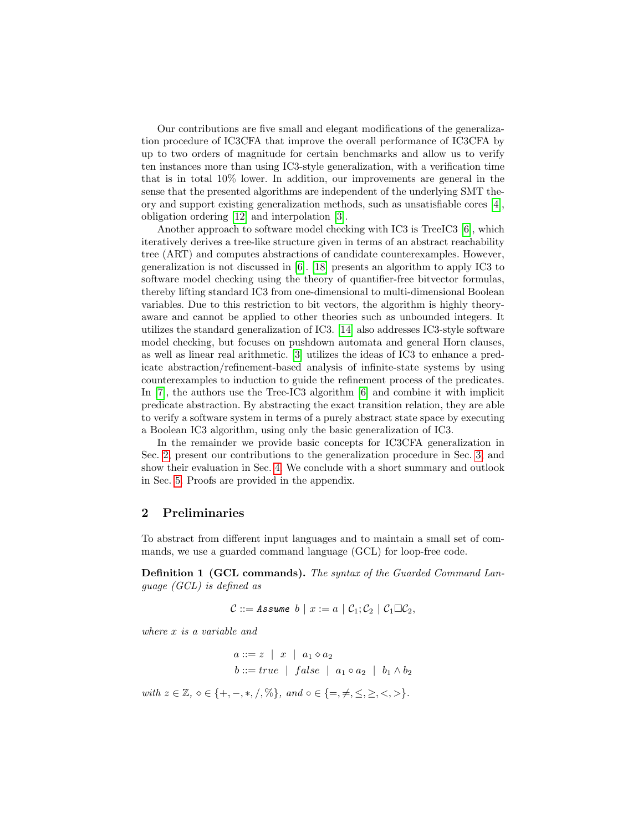Our contributions are five small and elegant modifications of the generalization procedure of IC3CFA that improve the overall performance of IC3CFA by up to two orders of magnitude for certain benchmarks and allow us to verify ten instances more than using IC3-style generalization, with a verification time that is in total 10% lower. In addition, our improvements are general in the sense that the presented algorithms are independent of the underlying SMT theory and support existing generalization methods, such as unsatisfiable cores [\[4\]](#page-15-0), obligation ordering [\[12\]](#page-15-4) and interpolation [\[3\]](#page-15-5).

Another approach to software model checking with  $\text{IC}3$  is TreeIC3 [\[6\]](#page-15-3), which iteratively derives a tree-like structure given in terms of an abstract reachability tree (ART) and computes abstractions of candidate counterexamples. However, generalization is not discussed in [\[6\]](#page-15-3). [\[18\]](#page-15-6) presents an algorithm to apply IC3 to software model checking using the theory of quantifier-free bitvector formulas, thereby lifting standard IC3 from one-dimensional to multi-dimensional Boolean variables. Due to this restriction to bit vectors, the algorithm is highly theoryaware and cannot be applied to other theories such as unbounded integers. It utilizes the standard generalization of IC3. [\[14\]](#page-15-7) also addresses IC3-style software model checking, but focuses on pushdown automata and general Horn clauses, as well as linear real arithmetic. [\[3\]](#page-15-5) utilizes the ideas of IC3 to enhance a predicate abstraction/refinement-based analysis of infinite-state systems by using counterexamples to induction to guide the refinement process of the predicates. In [\[7\]](#page-15-8), the authors use the Tree-IC3 algorithm [\[6\]](#page-15-3) and combine it with implicit predicate abstraction. By abstracting the exact transition relation, they are able to verify a software system in terms of a purely abstract state space by executing a Boolean IC3 algorithm, using only the basic generalization of IC3.

In the remainder we provide basic concepts for IC3CFA generalization in Sec. [2,](#page-1-0) present our contributions to the generalization procedure in Sec. [3,](#page-5-0) and show their evaluation in Sec. [4.](#page-11-0) We conclude with a short summary and outlook in Sec. [5.](#page-14-0) Proofs are provided in the appendix.

### <span id="page-1-0"></span>2 Preliminaries

To abstract from different input languages and to maintain a small set of commands, we use a guarded command language (GCL) for loop-free code.

<span id="page-1-1"></span>Definition 1 (GCL commands). The syntax of the Guarded Command Language (GCL) is defined as

$$
\mathcal{C} ::= \mathit{Assume} \; b \mid x := a \mid \mathcal{C}_1; \mathcal{C}_2 \mid \mathcal{C}_1 \Box \mathcal{C}_2,
$$

where x is a variable and

$$
a ::= z \mid x \mid a_1 \diamond a_2
$$
  

$$
b ::= true \mid false \mid a_1 \circ a_2 \mid b_1 \wedge b_2
$$

with  $z \in \mathbb{Z}, \, \diamond \in \{+, -, *, /, \% \}, \, \text{and } \circ \in \{=, \neq, \leq, \geq, <, > \}.$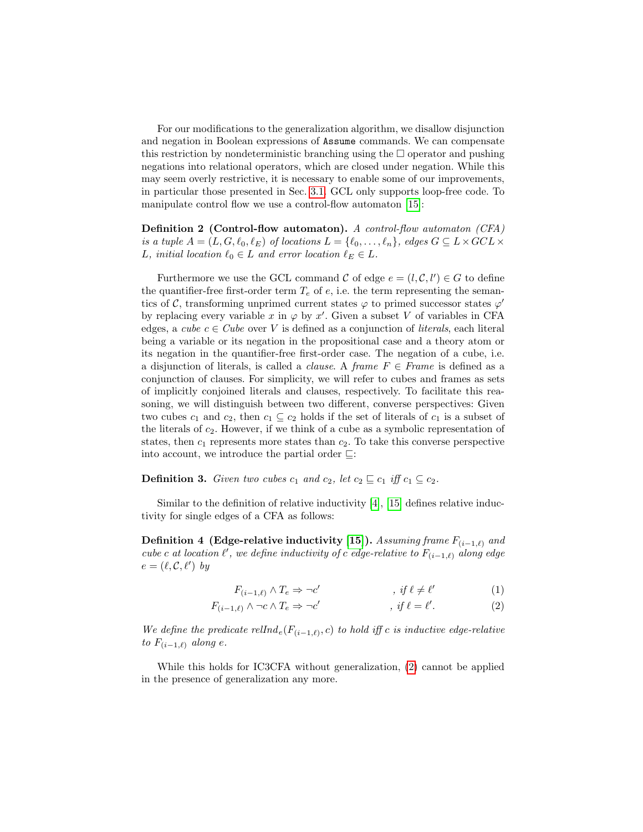For our modifications to the generalization algorithm, we disallow disjunction and negation in Boolean expressions of Assume commands. We can compensate this restriction by nondeterministic branching using the  $\Box$  operator and pushing negations into relational operators, which are closed under negation. While this may seem overly restrictive, it is necessary to enable some of our improvements, in particular those presented in Sec. [3.1.](#page-5-1) GCL only supports loop-free code. To manipulate control flow we use a control-flow automaton [\[15\]](#page-15-1):

Definition 2 (Control-flow automaton). A control-flow automaton (CFA) is a tuple  $A = (L, G, \ell_0, \ell_E)$  of locations  $L = \{\ell_0, \ldots, \ell_n\}$ , edges  $G \subseteq L \times GCL \times$ L, initial location  $\ell_0 \in L$  and error location  $\ell_E \in L$ .

Furthermore we use the GCL command  $\mathcal C$  of edge  $e = (l, \mathcal C, l') \in G$  to define the quantifier-free first-order term  $T_e$  of e, i.e. the term representing the semantics of C, transforming unprimed current states  $\varphi$  to primed successor states  $\varphi'$ by replacing every variable x in  $\varphi$  by x'. Given a subset V of variables in CFA edges, a cube  $c \in Cube$  over V is defined as a conjunction of *literals*, each literal being a variable or its negation in the propositional case and a theory atom or its negation in the quantifier-free first-order case. The negation of a cube, i.e. a disjunction of literals, is called a *clause*. A frame  $F \in Frame$  is defined as a conjunction of clauses. For simplicity, we will refer to cubes and frames as sets of implicitly conjoined literals and clauses, respectively. To facilitate this reasoning, we will distinguish between two different, converse perspectives: Given two cubes  $c_1$  and  $c_2$ , then  $c_1 \subseteq c_2$  holds if the set of literals of  $c_1$  is a subset of the literals of  $c_2$ . However, if we think of a cube as a symbolic representation of states, then  $c_1$  represents more states than  $c_2$ . To take this converse perspective into account, we introduce the partial order  $\sqsubseteq$ :

**Definition 3.** Given two cubes  $c_1$  and  $c_2$ , let  $c_2 \sqsubseteq c_1$  iff  $c_1 \subseteq c_2$ .

Similar to the definition of relative inductivity [\[4\]](#page-15-0), [\[15\]](#page-15-1) defines relative inductivity for single edges of a CFA as follows:

<span id="page-2-3"></span>Definition 4 (Edge-relative inductivity [\[15\]](#page-15-1)). Assuming frame  $F_{(i-1,\ell)}$  and cube c at location  $\ell'$ , we define inductivity of c edge-relative to  $F_{(i-1,\ell)}$  along edge  $e = (\ell, \mathcal{C}, \ell')$  by

<span id="page-2-2"></span><span id="page-2-0"></span>
$$
F_{(i-1,\ell)} \wedge T_e \Rightarrow \neg c' \qquad , \text{ if } \ell \neq \ell' \qquad (1)
$$

$$
F_{(i-1,\ell)} \wedge \neg c \wedge T_e \Rightarrow \neg c' \qquad , \text{ if } \ell = \ell'. \tag{2}
$$

We define the predicate rellnd<sub>e</sub>( $F_{(i-1,\ell)}, c$ ) to hold iff c is inductive edge-relative to  $F_{(i-1,\ell)}$  along e.

<span id="page-2-1"></span>While this holds for IC3CFA without generalization, [\(2\)](#page-2-0) cannot be applied in the presence of generalization any more.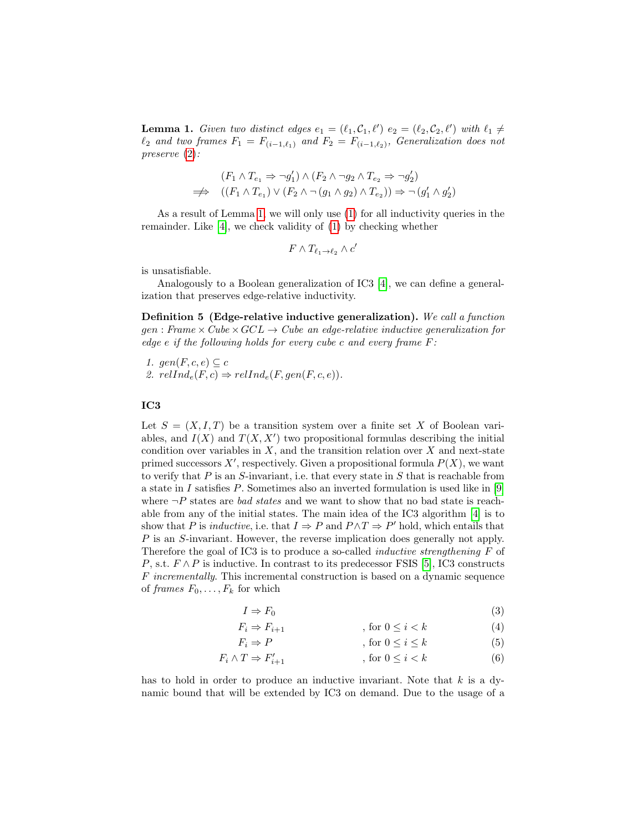**Lemma 1.** Given two distinct edges  $e_1 = (\ell_1, C_1, \ell')$   $e_2 = (\ell_2, C_2, \ell')$  with  $\ell_1 \neq \ell'$  $\ell_2$  and two frames  $F_1 = F_{(i-1,\ell_1)}$  and  $F_2 = F_{(i-1,\ell_2)}$ , Generalization does not preserve [\(2\)](#page-2-0):

$$
(F_1 \land T_{e_1} \Rightarrow \neg g_1') \land (F_2 \land \neg g_2 \land T_{e_2} \Rightarrow \neg g_2')
$$
  
\n
$$
\implies ((F_1 \land T_{e_1}) \lor (F_2 \land \neg (g_1 \land g_2) \land T_{e_2})) \Rightarrow \neg (g_1' \land g_2')
$$

As a result of Lemma [1,](#page-2-1) we will only use [\(1\)](#page-2-2) for all inductivity queries in the remainder. Like [\[4\]](#page-15-0), we check validity of [\(1\)](#page-2-2) by checking whether

$$
F \wedge T_{\ell_1 \to \ell_2} \wedge c'
$$

is unsatisfiable.

Analogously to a Boolean generalization of IC3 [\[4\]](#page-15-0), we can define a generalization that preserves edge-relative inductivity.

<span id="page-3-0"></span>Definition 5 (Edge-relative inductive generalization). We call a function  $gen : Frame \times Cube \times GCL \rightarrow Cube \ an \ edge\text{-}relative \ inductive \ generalization for$ edge e if the following holds for every cube c and every frame  $F$ :

1. gen $(F, c, e) \subseteq c$ 2.  $relInd_e(F, c) \Rightarrow relInd_e(F, gen(F, c, e)).$ 

### IC3

Let  $S = (X, I, T)$  be a transition system over a finite set X of Boolean variables, and  $I(X)$  and  $T(X, X')$  two propositional formulas describing the initial condition over variables in  $X$ , and the transition relation over  $X$  and next-state primed successors  $X'$ , respectively. Given a propositional formula  $P(X)$ , we want to verify that  $P$  is an  $S$ -invariant, i.e. that every state in  $S$  that is reachable from a state in I satisfies  $P$ . Sometimes also an inverted formulation is used like in [\[9\]](#page-15-9) where  $\neg P$  states are *bad states* and we want to show that no bad state is reachable from any of the initial states. The main idea of the IC3 algorithm [\[4\]](#page-15-0) is to show that P is *inductive*, i.e. that  $I \Rightarrow P$  and  $P \wedge T \Rightarrow P'$  hold, which entails that P is an S-invariant. However, the reverse implication does generally not apply. Therefore the goal of IC3 is to produce a so-called inductive strengthening F of P, s.t.  $F \wedge P$  is inductive. In contrast to its predecessor FSIS [\[5\]](#page-15-10), IC3 constructs F incrementally. This incremental construction is based on a dynamic sequence of frames  $F_0, \ldots, F_k$  for which

$$
I \Rightarrow F_0 \tag{3}
$$

$$
F_i \Rightarrow F_{i+1} \qquad \qquad , \text{ for } 0 \le i < k \tag{4}
$$

$$
F_i \Rightarrow P \qquad \qquad , \text{ for } 0 \le i \le k \tag{5}
$$

$$
F_i \wedge T \Rightarrow F'_{i+1} \qquad \qquad , \text{ for } 0 \le i < k \tag{6}
$$

has to hold in order to produce an inductive invariant. Note that  $k$  is a dynamic bound that will be extended by IC3 on demand. Due to the usage of a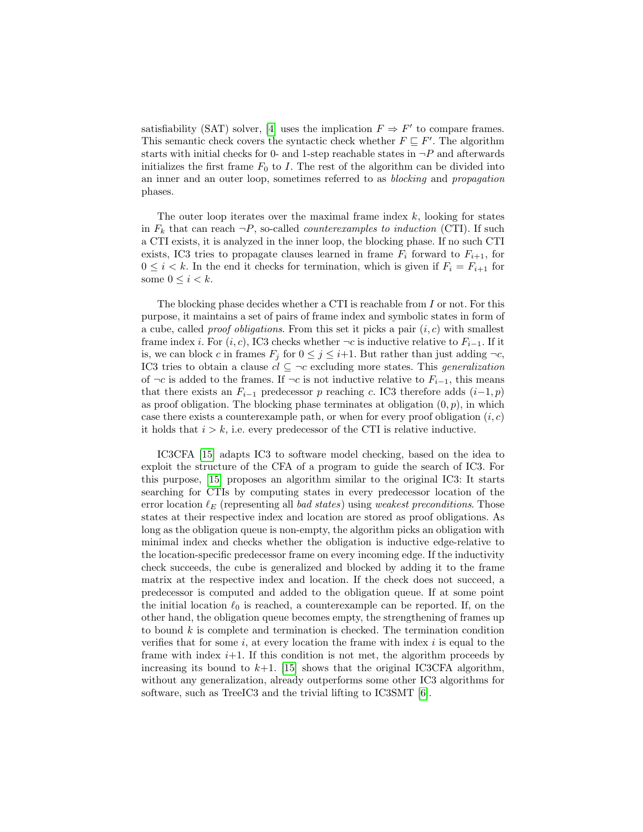satisfiability (SAT) solver, [\[4\]](#page-15-0) uses the implication  $F \Rightarrow F'$  to compare frames. This semantic check covers the syntactic check whether  $F \subseteq F'$ . The algorithm starts with initial checks for 0- and 1-step reachable states in  $\neg P$  and afterwards initializes the first frame  $F_0$  to I. The rest of the algorithm can be divided into an inner and an outer loop, sometimes referred to as blocking and propagation phases.

The outer loop iterates over the maximal frame index  $k$ , looking for states in  $F_k$  that can reach  $\neg P$ , so-called *counterexamples to induction* (CTI). If such a CTI exists, it is analyzed in the inner loop, the blocking phase. If no such CTI exists, IC3 tries to propagate clauses learned in frame  $F_i$  forward to  $F_{i+1}$ , for  $0 \leq i \leq k$ . In the end it checks for termination, which is given if  $F_i = F_{i+1}$  for some  $0 \leq i < k$ .

The blocking phase decides whether a CTI is reachable from I or not. For this purpose, it maintains a set of pairs of frame index and symbolic states in form of a cube, called *proof obligations*. From this set it picks a pair  $(i, c)$  with smallest frame index *i*. For  $(i, c)$ , IC3 checks whether  $\neg c$  is inductive relative to  $F_{i-1}$ . If it is, we can block c in frames  $F_j$  for  $0 \leq j \leq i+1$ . But rather than just adding  $\neg c$ , IC3 tries to obtain a clause  $cl \subseteq \neg c$  excluding more states. This *generalization* of  $\neg c$  is added to the frames. If  $\neg c$  is not inductive relative to  $F_{i-1}$ , this means that there exists an  $F_{i-1}$  predecessor p reaching c. IC3 therefore adds  $(i-1, p)$ as proof obligation. The blocking phase terminates at obligation  $(0, p)$ , in which case there exists a counterexample path, or when for every proof obligation  $(i, c)$ it holds that  $i > k$ , i.e. every predecessor of the CTI is relative inductive.

IC3CFA [\[15\]](#page-15-1) adapts IC3 to software model checking, based on the idea to exploit the structure of the CFA of a program to guide the search of IC3. For this purpose, [\[15\]](#page-15-1) proposes an algorithm similar to the original IC3: It starts searching for CTIs by computing states in every predecessor location of the error location  $\ell_F$  (representing all bad states) using weakest preconditions. Those states at their respective index and location are stored as proof obligations. As long as the obligation queue is non-empty, the algorithm picks an obligation with minimal index and checks whether the obligation is inductive edge-relative to the location-specific predecessor frame on every incoming edge. If the inductivity check succeeds, the cube is generalized and blocked by adding it to the frame matrix at the respective index and location. If the check does not succeed, a predecessor is computed and added to the obligation queue. If at some point the initial location  $\ell_0$  is reached, a counterexample can be reported. If, on the other hand, the obligation queue becomes empty, the strengthening of frames up to bound  $k$  is complete and termination is checked. The termination condition verifies that for some i, at every location the frame with index i is equal to the frame with index  $i+1$ . If this condition is not met, the algorithm proceeds by increasing its bound to  $k+1$ . [\[15\]](#page-15-1) shows that the original IC3CFA algorithm, without any generalization, already outperforms some other IC3 algorithms for software, such as TreeIC3 and the trivial lifting to IC3SMT [\[6\]](#page-15-3).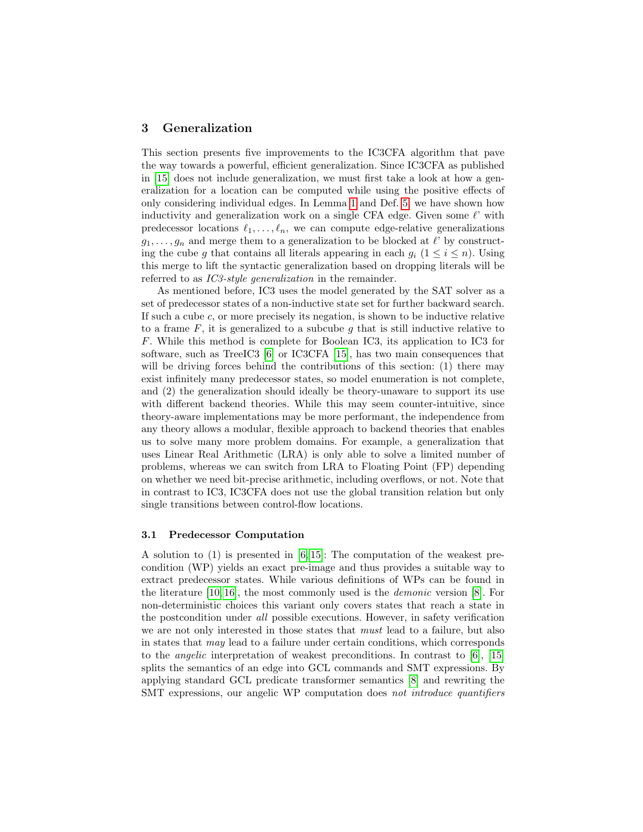### <span id="page-5-0"></span>3 Generalization

This section presents five improvements to the IC3CFA algorithm that pave the way towards a powerful, efficient generalization. Since IC3CFA as published in [\[15\]](#page-15-1) does not include generalization, we must first take a look at how a generalization for a location can be computed while using the positive effects of only considering individual edges. In Lemma [1](#page-2-1) and Def. [5,](#page-3-0) we have shown how inductivity and generalization work on a single CFA edge. Given some  $\ell'$  with predecessor locations  $\ell_1, \ldots, \ell_n$ , we can compute edge-relative generalizations  $g_1, \ldots, g_n$  and merge them to a generalization to be blocked at  $\ell$ ' by constructing the cube g that contains all literals appearing in each  $g_i$  ( $1 \leq i \leq n$ ). Using this merge to lift the syntactic generalization based on dropping literals will be referred to as *IC3-style generalization* in the remainder.

As mentioned before, IC3 uses the model generated by the SAT solver as a set of predecessor states of a non-inductive state set for further backward search. If such a cube  $c$ , or more precisely its negation, is shown to be inductive relative to a frame  $F$ , it is generalized to a subcube  $g$  that is still inductive relative to F. While this method is complete for Boolean IC3, its application to IC3 for software, such as TreeIC3 [\[6\]](#page-15-3) or IC3CFA [\[15\]](#page-15-1), has two main consequences that will be driving forces behind the contributions of this section: (1) there may exist infinitely many predecessor states, so model enumeration is not complete, and (2) the generalization should ideally be theory-unaware to support its use with different backend theories. While this may seem counter-intuitive, since theory-aware implementations may be more performant, the independence from any theory allows a modular, flexible approach to backend theories that enables us to solve many more problem domains. For example, a generalization that uses Linear Real Arithmetic (LRA) is only able to solve a limited number of problems, whereas we can switch from LRA to Floating Point (FP) depending on whether we need bit-precise arithmetic, including overflows, or not. Note that in contrast to IC3, IC3CFA does not use the global transition relation but only single transitions between control-flow locations.

#### <span id="page-5-1"></span>3.1 Predecessor Computation

A solution to (1) is presented in [\[6,](#page-15-3) [15\]](#page-15-1): The computation of the weakest precondition (WP) yields an exact pre-image and thus provides a suitable way to extract predecessor states. While various definitions of WPs can be found in the literature  $[10, 16]$  $[10, 16]$ , the most commonly used is the *demonic* version  $[8]$ . For non-deterministic choices this variant only covers states that reach a state in the postcondition under all possible executions. However, in safety verification we are not only interested in those states that must lead to a failure, but also in states that may lead to a failure under certain conditions, which corresponds to the angelic interpretation of weakest preconditions. In contrast to [\[6\]](#page-15-3), [\[15\]](#page-15-1) splits the semantics of an edge into GCL commands and SMT expressions. By applying standard GCL predicate transformer semantics [\[8\]](#page-15-13) and rewriting the SMT expressions, our angelic WP computation does not introduce quantifiers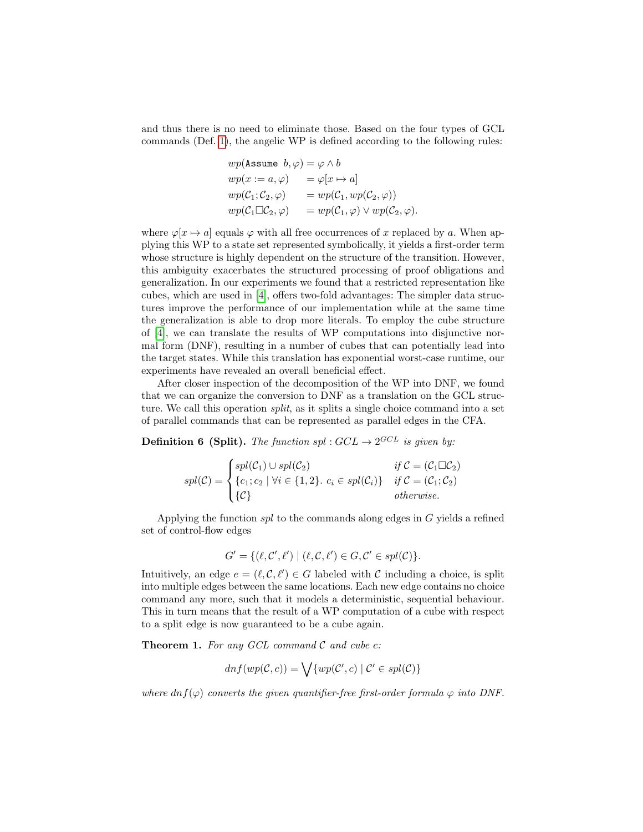and thus there is no need to eliminate those. Based on the four types of GCL commands (Def. [1\)](#page-1-1), the angelic WP is defined according to the following rules:

$$
wp(\text{Assume } b, \varphi) = \varphi \wedge b
$$
  
\n
$$
wp(x := a, \varphi) = \varphi[x \mapsto a]
$$
  
\n
$$
wp(C_1; C_2, \varphi) = wp(C_1, wp(C_2, \varphi))
$$
  
\n
$$
wp(C_1 \square C_2, \varphi) = wp(C_1, \varphi) \vee wp(C_2, \varphi).
$$

where  $\varphi[x \mapsto a]$  equals  $\varphi$  with all free occurrences of x replaced by a. When applying this WP to a state set represented symbolically, it yields a first-order term whose structure is highly dependent on the structure of the transition. However, this ambiguity exacerbates the structured processing of proof obligations and generalization. In our experiments we found that a restricted representation like cubes, which are used in [\[4\]](#page-15-0), offers two-fold advantages: The simpler data structures improve the performance of our implementation while at the same time the generalization is able to drop more literals. To employ the cube structure of [\[4\]](#page-15-0), we can translate the results of WP computations into disjunctive normal form (DNF), resulting in a number of cubes that can potentially lead into the target states. While this translation has exponential worst-case runtime, our experiments have revealed an overall beneficial effect.

After closer inspection of the decomposition of the WP into DNF, we found that we can organize the conversion to DNF as a translation on the GCL structure. We call this operation *split*, as it splits a single choice command into a set of parallel commands that can be represented as parallel edges in the CFA.

**Definition 6 (Split).** The function spl:  $GCL \rightarrow 2^{GCL}$  is given by:

$$
spl(C) = \begin{cases} spl(C_1) \cup spl(C_2) & \text{if } C = (C_1 \square C_2) \\ \{c_1; c_2 \mid \forall i \in \{1, 2\}. \ c_i \in spl(C_i) \} & \text{if } C = (C_1; C_2) \\ \{C\} & \text{otherwise.} \end{cases}
$$

Applying the function spl to the commands along edges in G yields a refined set of control-flow edges

$$
G' = \{ (\ell, \mathcal{C}', \ell') \mid (\ell, \mathcal{C}, \ell') \in G, \mathcal{C}' \in spl(\mathcal{C}) \}.
$$

Intuitively, an edge  $e = (\ell, \mathcal{C}, \ell') \in G$  labeled with C including a choice, is split into multiple edges between the same locations. Each new edge contains no choice command any more, such that it models a deterministic, sequential behaviour. This in turn means that the result of a WP computation of a cube with respect to a split edge is now guaranteed to be a cube again.

<span id="page-6-0"></span>**Theorem 1.** For any GCL command  $\mathcal C$  and cube c:

$$
dnf(wp(\mathcal{C},c)) = \bigvee \{wp(\mathcal{C}',c) \mid \mathcal{C}' \in spl(\mathcal{C})\}
$$

where  $dnf(\varphi)$  converts the given quantifier-free first-order formula  $\varphi$  into DNF.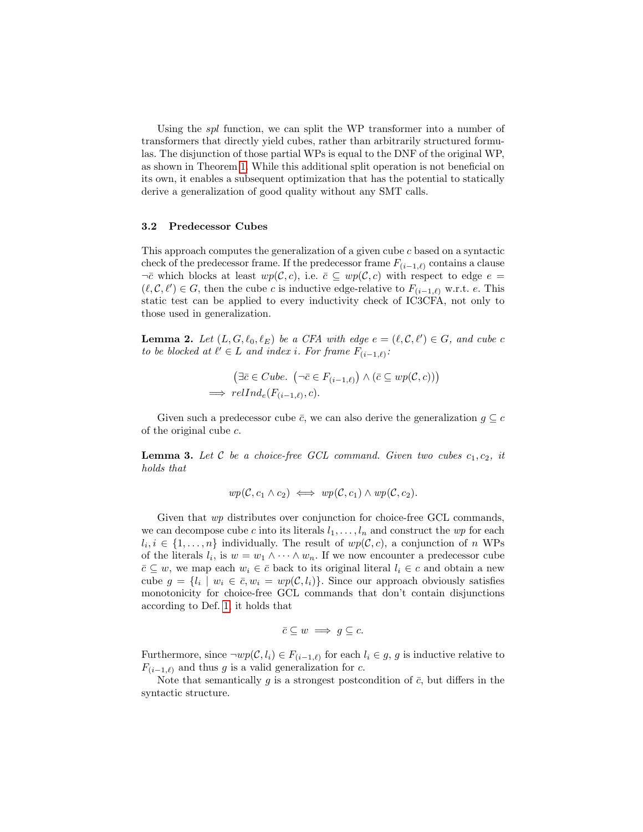Using the *spl* function, we can split the WP transformer into a number of transformers that directly yield cubes, rather than arbitrarily structured formulas. The disjunction of those partial WPs is equal to the DNF of the original WP, as shown in Theorem [1.](#page-6-0) While this additional split operation is not beneficial on its own, it enables a subsequent optimization that has the potential to statically derive a generalization of good quality without any SMT calls.

#### 3.2 Predecessor Cubes

This approach computes the generalization of a given cube c based on a syntactic check of the predecessor frame. If the predecessor frame  $F_{(i-1,\ell)}$  contains a clause  $\neg \bar{c}$  which blocks at least  $wp(\mathcal{C}, c)$ , i.e.  $\bar{c} \subseteq wp(\mathcal{C}, c)$  with respect to edge  $e =$  $(\ell, \mathcal{C}, \ell') \in G$ , then the cube c is inductive edge-relative to  $F_{(i-1,\ell)}$  w.r.t. e. This static test can be applied to every inductivity check of IC3CFA, not only to those used in generalization.

<span id="page-7-0"></span>**Lemma 2.** Let  $(L, G, \ell_0, \ell_E)$  be a CFA with edge  $e = (\ell, \mathcal{C}, \ell') \in G$ , and cube c to be blocked at  $\ell' \in L$  and index i. For frame  $F_{(i-1,\ell)}$ :

$$
(\exists \bar{c} \in Cube. \ (\neg \bar{c} \in F_{(i-1,\ell)}) \land (\bar{c} \subseteq wp(C, c)))
$$
  
\n
$$
\implies relInd_e(F_{(i-1,\ell)}, c).
$$

Given such a predecessor cube  $\bar{c}$ , we can also derive the generalization  $g \subseteq c$ of the original cube  $c$ .

<span id="page-7-1"></span>**Lemma 3.** Let  $C$  be a choice-free GCL command. Given two cubes  $c_1, c_2$ , it holds that

$$
wp(\mathcal{C}, c_1 \wedge c_2) \iff wp(\mathcal{C}, c_1) \wedge wp(\mathcal{C}, c_2).
$$

Given that wp distributes over conjunction for choice-free GCL commands, we can decompose cube c into its literals  $l_1, \ldots, l_n$  and construct the wp for each  $l_i, i \in \{1, \ldots, n\}$  individually. The result of  $wp(\mathcal{C}, c)$ , a conjunction of n WPs of the literals  $l_i$ , is  $w = w_1 \wedge \cdots \wedge w_n$ . If we now encounter a predecessor cube  $\bar{c} \subseteq w$ , we map each  $w_i \in \bar{c}$  back to its original literal  $l_i \in c$  and obtain a new cube  $g = \{l_i \mid w_i \in \bar{c}, w_i = wp(\mathcal{C}, l_i)\}\.$  Since our approach obviously satisfies monotonicity for choice-free GCL commands that don't contain disjunctions according to Def. [1,](#page-1-1) it holds that

$$
\bar{c} \subseteq w \implies g \subseteq c.
$$

Furthermore, since  $\neg wp(\mathcal{C}, l_i) \in F_{(i-1,\ell)}$  for each  $l_i \in g$ , g is inductive relative to  $F_{(i-1,\ell)}$  and thus g is a valid generalization for c.

<span id="page-7-2"></span>Note that semantically g is a strongest postcondition of  $\bar{c}$ , but differs in the syntactic structure.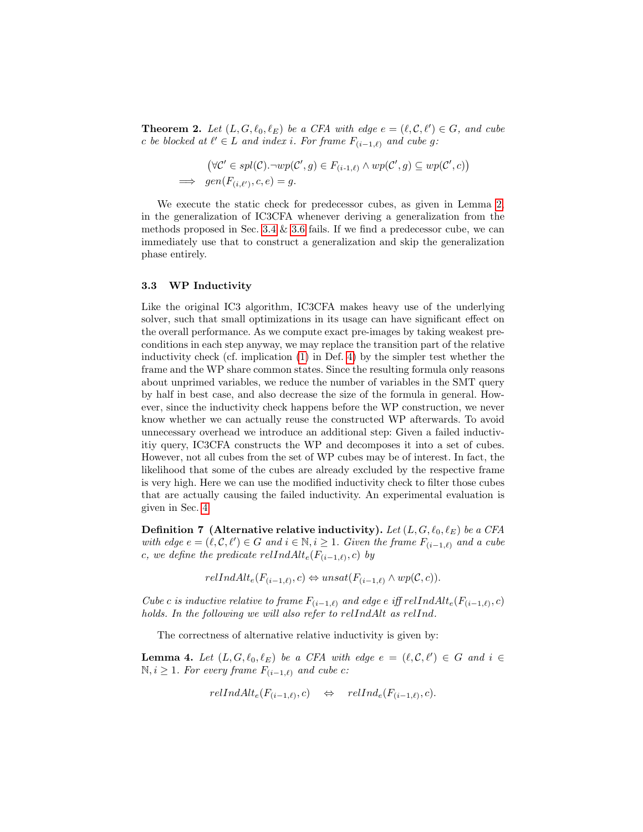**Theorem 2.** Let  $(L, G, \ell_0, \ell_E)$  be a CFA with edge  $e = (\ell, \mathcal{C}, \ell') \in G$ , and cube c be blocked at  $\ell' \in L$  and index i. For frame  $F_{(i-1,\ell)}$  and cube g:

$$
(\forall \mathcal{C}' \in spl(\mathcal{C}) \neg wp(\mathcal{C}', g) \in F_{(i-1,\ell)} \land wp(\mathcal{C}', g) \subseteq wp(\mathcal{C}', c))
$$
  
\n
$$
\implies gen(F_{(i,\ell')}, c, e) = g.
$$

We execute the static check for predecessor cubes, as given in Lemma [2,](#page-7-0) in the generalization of IC3CFA whenever deriving a generalization from the methods proposed in Sec. [3.4](#page-9-0)  $\&$  [3.6](#page-10-0) fails. If we find a predecessor cube, we can immediately use that to construct a generalization and skip the generalization phase entirely.

#### 3.3 WP Inductivity

Like the original IC3 algorithm, IC3CFA makes heavy use of the underlying solver, such that small optimizations in its usage can have significant effect on the overall performance. As we compute exact pre-images by taking weakest preconditions in each step anyway, we may replace the transition part of the relative inductivity check (cf. implication [\(1\)](#page-2-2) in Def. [4\)](#page-2-3) by the simpler test whether the frame and the WP share common states. Since the resulting formula only reasons about unprimed variables, we reduce the number of variables in the SMT query by half in best case, and also decrease the size of the formula in general. However, since the inductivity check happens before the WP construction, we never know whether we can actually reuse the constructed WP afterwards. To avoid unnecessary overhead we introduce an additional step: Given a failed inductivitiy query, IC3CFA constructs the WP and decomposes it into a set of cubes. However, not all cubes from the set of WP cubes may be of interest. In fact, the likelihood that some of the cubes are already excluded by the respective frame is very high. Here we can use the modified inductivity check to filter those cubes that are actually causing the failed inductivity. An experimental evaluation is given in Sec. [4.](#page-11-0)

<span id="page-8-0"></span>**Definition 7** (Alternative relative inductivity). Let  $(L, G, \ell_0, \ell_E)$  be a CFA with edge  $e = (\ell, \mathcal{C}, \ell') \in G$  and  $i \in \mathbb{N}, i \ge 1$ . Given the frame  $F_{(i-1,\ell)}$  and a cube c, we define the predicate  $relIndAlt_e(F_{(i-1,\ell)}, c)$  by

 $relIndAlt_e(F_{(i-1,\ell)}, c) \Leftrightarrow unsat(F_{(i-1,\ell)} \wedge wp(C, c)).$ 

Cube c is inductive relative to frame  $F_{(i-1,\ell)}$  and edge e iff relIndAlt<sub>e</sub>( $F_{(i-1,\ell)}, c$ ) holds. In the following we will also refer to relIndAlt as relInd.

The correctness of alternative relative inductivity is given by:

<span id="page-8-1"></span>**Lemma 4.** Let  $(L, G, \ell_0, \ell_E)$  be a CFA with edge  $e = (\ell, \mathcal{C}, \ell') \in G$  and  $i \in$ N,  $i \geq 1$ . For every frame  $F_{(i-1,\ell)}$  and cube c:

$$
relIndAlt_e(F_{(i-1,\ell)}, c) \quad \Leftrightarrow \quad relInd_e(F_{(i-1,\ell)}, c).
$$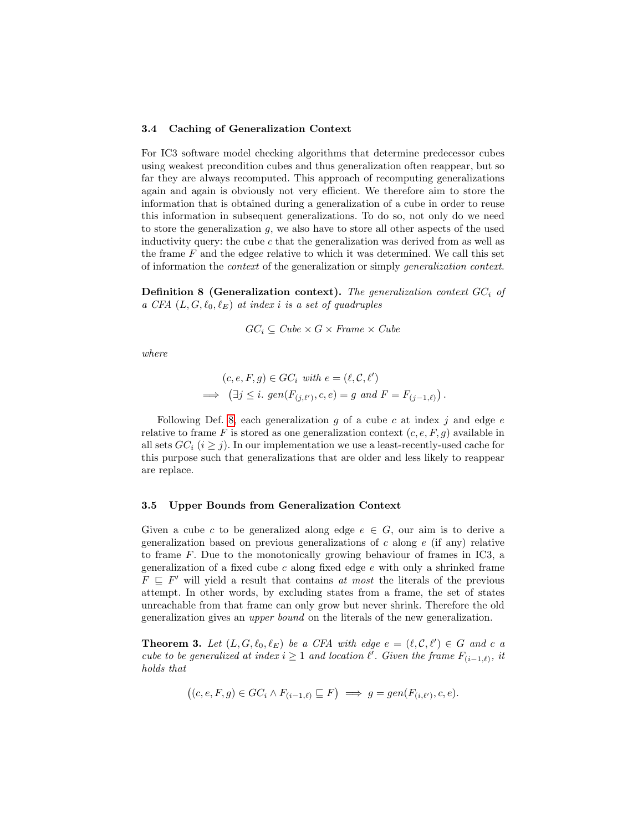#### <span id="page-9-0"></span>3.4 Caching of Generalization Context

For IC3 software model checking algorithms that determine predecessor cubes using weakest precondition cubes and thus generalization often reappear, but so far they are always recomputed. This approach of recomputing generalizations again and again is obviously not very efficient. We therefore aim to store the information that is obtained during a generalization of a cube in order to reuse this information in subsequent generalizations. To do so, not only do we need to store the generalization g, we also have to store all other aspects of the used inductivity query: the cube  $c$  that the generalization was derived from as well as the frame  $F$  and the edgee relative to which it was determined. We call this set of information the context of the generalization or simply generalization context.

<span id="page-9-1"></span>**Definition 8 (Generalization context).** The generalization context  $GC_i$  of a CFA  $(L, G, \ell_0, \ell_E)$  at index i is a set of quadruples

$$
GC_i \subseteq Cube \times G \times Frame \times Cube
$$

where

$$
(c, e, F, g) \in GC_i \text{ with } e = (\ell, C, \ell')
$$
  
\n
$$
\implies (\exists j \le i. \text{ gen}(F_{(j, \ell')}, c, e) = g \text{ and } F = F_{(j-1, \ell)}).
$$

Following Def. [8,](#page-9-1) each generalization g of a cube c at index j and edge  $e$ relative to frame F is stored as one generalization context  $(c, e, F, g)$  available in all sets  $GC_i$  ( $i \geq j$ ). In our implementation we use a least-recently-used cache for this purpose such that generalizations that are older and less likely to reappear are replace.

#### 3.5 Upper Bounds from Generalization Context

Given a cube c to be generalized along edge  $e \in G$ , our aim is to derive a generalization based on previous generalizations of  $c$  along  $e$  (if any) relative to frame F. Due to the monotonically growing behaviour of frames in IC3, a generalization of a fixed cube c along fixed edge  $e$  with only a shrinked frame  $F \subseteq F'$  will yield a result that contains at most the literals of the previous attempt. In other words, by excluding states from a frame, the set of states unreachable from that frame can only grow but never shrink. Therefore the old generalization gives an upper bound on the literals of the new generalization.

<span id="page-9-2"></span>**Theorem 3.** Let  $(L, G, \ell_0, \ell_E)$  be a CFA with edge  $e = (\ell, \mathcal{C}, \ell') \in G$  and c a cube to be generalized at index  $i \geq 1$  and location  $\ell'$ . Given the frame  $F_{(i-1,\ell)}$ , it holds that

$$
((c, e, F, g) \in GC_i \land F_{(i-1,\ell)} \sqsubseteq F) \implies g = gen(F_{(i,\ell')}, c, e).
$$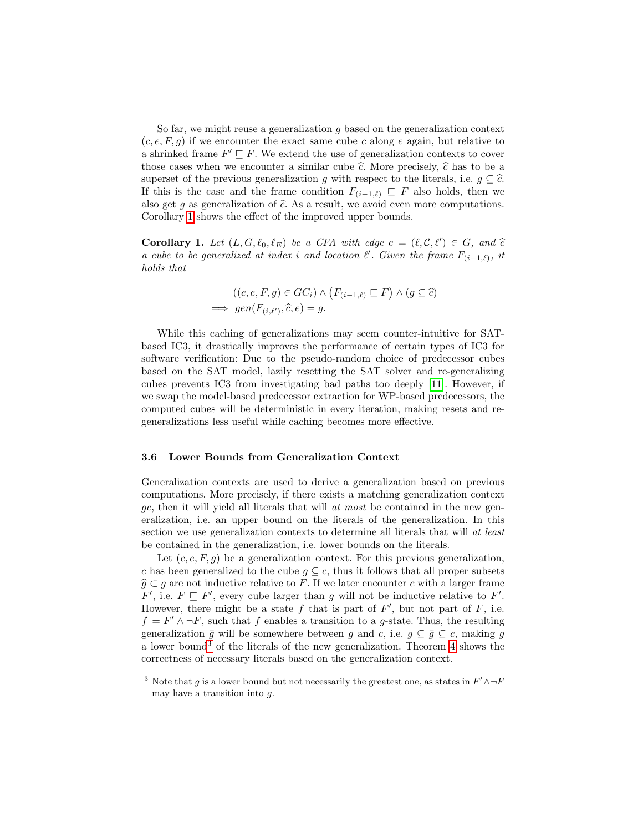So far, we might reuse a generalization  $g$  based on the generalization context  $(c, e, F, g)$  if we encounter the exact same cube c along e again, but relative to a shrinked frame  $F' \sqsubseteq F$ . We extend the use of generalization contexts to cover those cases when we encounter a similar cube  $\hat{c}$ . More precisely,  $\hat{c}$  has to be a superset of the previous generalization g with respect to the literals, i.e.  $g \subseteq \hat{c}$ . If this is the case and the frame condition  $F_{(i-1,\ell)} \subseteq F$  also holds, then we also get g as generalization of  $\hat{c}$ . As a result, we avoid even more computations. Corollary [1](#page-10-1) shows the effect of the improved upper bounds.

<span id="page-10-1"></span>**Corollary 1.** Let  $(L, G, \ell_0, \ell_E)$  be a CFA with edge  $e = (\ell, C, \ell') \in G$ , and  $\hat{c}$ a cube to be generalized at index i and location  $\ell'$ . Given the frame  $F_{(i-1,\ell)}$ , it holds that

$$
((c, e, F, g) \in GC_i) \land (F_{(i-1,\ell)} \sqsubseteq F) \land (g \subseteq \widehat{c})
$$
  
\n
$$
\implies gen(F_{(i,\ell')}, \widehat{c}, e) = g.
$$

While this caching of generalizations may seem counter-intuitive for SATbased IC3, it drastically improves the performance of certain types of IC3 for software verification: Due to the pseudo-random choice of predecessor cubes based on the SAT model, lazily resetting the SAT solver and re-generalizing cubes prevents IC3 from investigating bad paths too deeply [\[11\]](#page-15-14). However, if we swap the model-based predecessor extraction for WP-based predecessors, the computed cubes will be deterministic in every iteration, making resets and regeneralizations less useful while caching becomes more effective.

#### <span id="page-10-0"></span>3.6 Lower Bounds from Generalization Context

Generalization contexts are used to derive a generalization based on previous computations. More precisely, if there exists a matching generalization context  $gc$ , then it will yield all literals that will at most be contained in the new generalization, i.e. an upper bound on the literals of the generalization. In this section we use generalization contexts to determine all literals that will at least be contained in the generalization, i.e. lower bounds on the literals.

Let  $(c, e, F, g)$  be a generalization context. For this previous generalization, c has been generalized to the cube  $g \subseteq c$ , thus it follows that all proper subsets  $\widehat{g} \subset g$  are not inductive relative to F. If we later encounter c with a larger frame  $F'$ , i.e.  $F \subseteq F'$ , every cube larger than g will not be inductive relative to F'. However, there might be a state  $f$  that is part of  $F'$ , but not part of  $F$ , i.e.  $f \models F' \land \neg F$ , such that f enables a transition to a g-state. Thus, the resulting generalization  $\bar{g}$  will be somewhere between g and c, i.e.  $g \subseteq \bar{g} \subseteq c$ , making g a lower bound<sup>[3](#page-10-2)</sup> of the literals of the new generalization. Theorem [4](#page-10-3) shows the correctness of necessary literals based on the generalization context.

<span id="page-10-3"></span><span id="page-10-2"></span><sup>&</sup>lt;sup>3</sup> Note that g is a lower bound but not necessarily the greatest one, as states in  $F' \wedge \neg F$ may have a transition into  $q$ .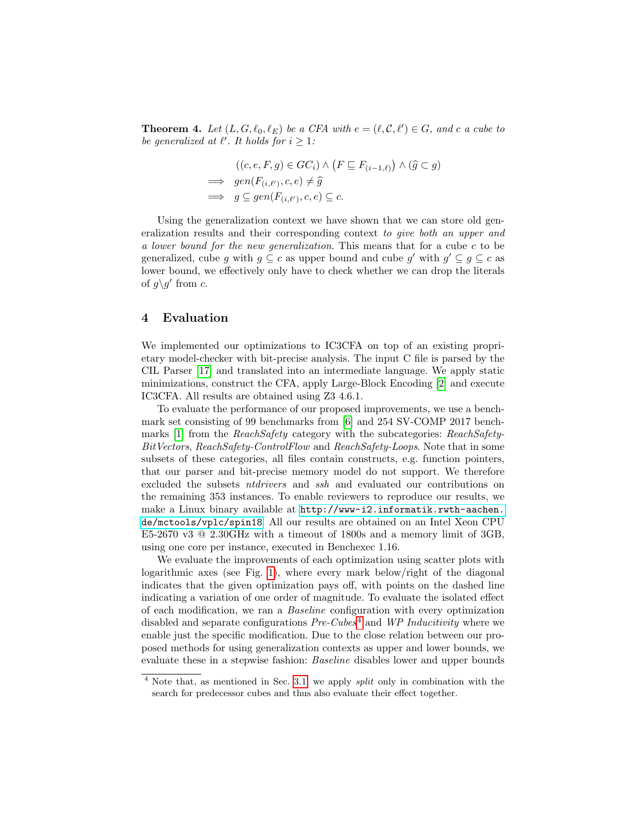**Theorem 4.** Let  $(L, G, \ell_0, \ell_E)$  be a CFA with  $e = (\ell, C, \ell') \in G$ , and c a cube to be generalized at  $\ell'$ . It holds for  $i \geq 1$ :

$$
((c, e, F, g) \in GC_i) \land (F \sqsubseteq F_{(i-1,\ell)}) \land (\widehat{g} \subset g)
$$
  
\n
$$
\implies gen(F_{(i,\ell')}, c, e) \neq \widehat{g}
$$
  
\n
$$
\implies g \subseteq gen(F_{(i,\ell')}, c, e) \subseteq c.
$$

Using the generalization context we have shown that we can store old generalization results and their corresponding context to give both an upper and a lower bound for the new generalization. This means that for a cube c to be generalized, cube g with  $g \subseteq c$  as upper bound and cube g' with  $g' \subseteq g \subseteq c$  as lower bound, we effectively only have to check whether we can drop the literals of  $g \gtrsim g'$  from c.

### <span id="page-11-0"></span>4 Evaluation

We implemented our optimizations to IC3CFA on top of an existing proprietary model-checker with bit-precise analysis. The input C file is parsed by the CIL Parser [\[17\]](#page-15-15) and translated into an intermediate language. We apply static minimizations, construct the CFA, apply Large-Block Encoding [\[2\]](#page-15-16) and execute IC3CFA. All results are obtained using Z3 4.6.1.

To evaluate the performance of our proposed improvements, we use a benchmark set consisting of 99 benchmarks from [\[6\]](#page-15-3) and 254 SV-COMP 2017 bench-marks [\[1\]](#page-15-17) from the *ReachSafety* category with the subcategories: *ReachSafety*-BitVectors, ReachSafety-ControlFlow and ReachSafety-Loops. Note that in some subsets of these categories, all files contain constructs, e.g. function pointers, that our parser and bit-precise memory model do not support. We therefore excluded the subsets ntdrivers and ssh and evaluated our contributions on the remaining 353 instances. To enable reviewers to reproduce our results, we make a Linux binary available at [http://www-i2.informatik.rwth-aachen.](http://www-i2.informatik.rwth-aachen.de/mctools/vplc/spin18) [de/mctools/vplc/spin18](http://www-i2.informatik.rwth-aachen.de/mctools/vplc/spin18). All our results are obtained on an Intel Xeon CPU E5-2670 v3 @ 2.30GHz with a timeout of 1800s and a memory limit of 3GB, using one core per instance, executed in Benchexec 1.16.

We evaluate the improvements of each optimization using scatter plots with logarithmic axes (see Fig. [1\)](#page-12-0), where every mark below/right of the diagonal indicates that the given optimization pays off, with points on the dashed line indicating a variation of one order of magnitude. To evaluate the isolated effect of each modification, we ran a Baseline configuration with every optimization disabled and separate configurations  $Pre-Cubes<sup>4</sup>$  $Pre-Cubes<sup>4</sup>$  $Pre-Cubes<sup>4</sup>$  and WP Inducitivity where we enable just the specific modification. Due to the close relation between our proposed methods for using generalization contexts as upper and lower bounds, we evaluate these in a stepwise fashion: Baseline disables lower and upper bounds

<span id="page-11-1"></span><sup>&</sup>lt;sup>4</sup> Note that, as mentioned in Sec. [3.1,](#page-5-1) we apply *split* only in combination with the search for predecessor cubes and thus also evaluate their effect together.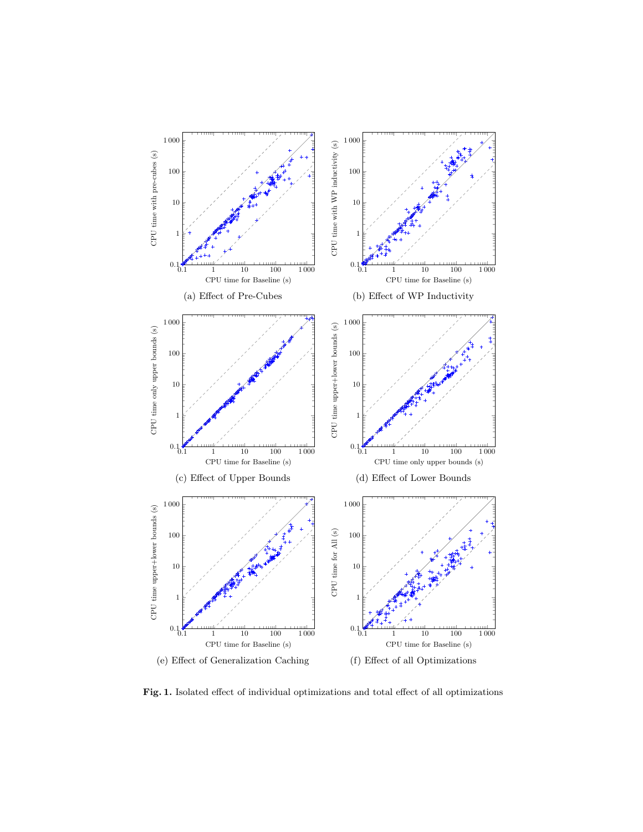<span id="page-12-3"></span><span id="page-12-2"></span><span id="page-12-1"></span>

<span id="page-12-6"></span><span id="page-12-5"></span><span id="page-12-4"></span><span id="page-12-0"></span>Fig. 1. Isolated effect of individual optimizations and total effect of all optimizations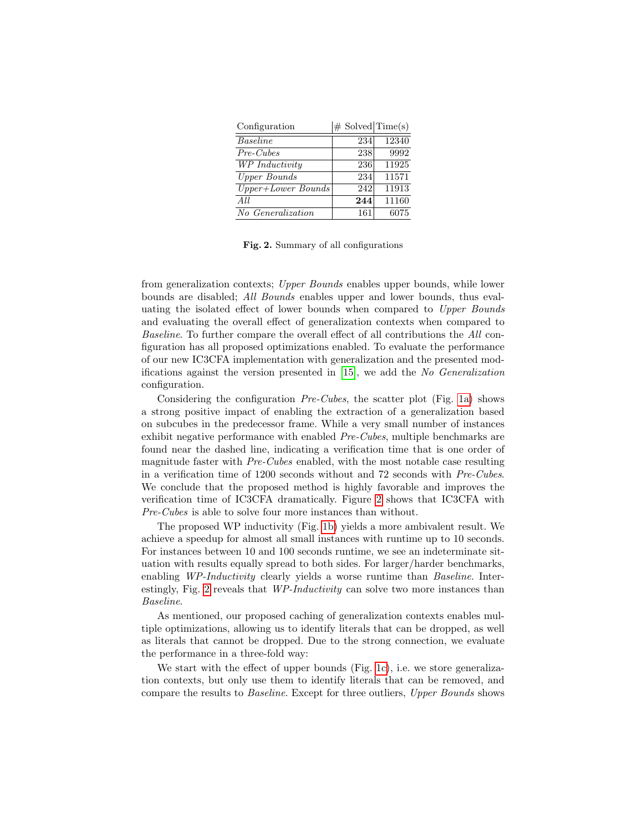| Configuration      | $\#$ Solved Time(s) |       |
|--------------------|---------------------|-------|
| Baseline           | 234                 | 12340 |
| $Pre-Cubes$        | 238                 | 9992  |
| WP Inductivity     | 236                 | 11925 |
| Upper Bounds       | 234                 | 11571 |
| Upper+Lower Bounds | 242                 | 11913 |
| All                | 244                 | 11160 |
| No Generalization  | 161                 | 6075  |

<span id="page-13-0"></span>Fig. 2. Summary of all configurations

from generalization contexts; Upper Bounds enables upper bounds, while lower bounds are disabled; All Bounds enables upper and lower bounds, thus evaluating the isolated effect of lower bounds when compared to Upper Bounds and evaluating the overall effect of generalization contexts when compared to Baseline. To further compare the overall effect of all contributions the All configuration has all proposed optimizations enabled. To evaluate the performance of our new IC3CFA implementation with generalization and the presented modifications against the version presented in [\[15\]](#page-15-1), we add the No Generalization configuration.

Considering the configuration  $Pre-Cubes$ , the scatter plot (Fig. [1a\)](#page-12-1) shows a strong positive impact of enabling the extraction of a generalization based on subcubes in the predecessor frame. While a very small number of instances exhibit negative performance with enabled Pre-Cubes, multiple benchmarks are found near the dashed line, indicating a verification time that is one order of magnitude faster with Pre-Cubes enabled, with the most notable case resulting in a verification time of  $1200$  seconds without and  $72$  seconds with  $Pre-Cubes$ . We conclude that the proposed method is highly favorable and improves the verification time of IC3CFA dramatically. Figure [2](#page-13-0) shows that IC3CFA with Pre-Cubes is able to solve four more instances than without.

The proposed WP inductivity (Fig. [1b\)](#page-12-2) yields a more ambivalent result. We achieve a speedup for almost all small instances with runtime up to 10 seconds. For instances between 10 and 100 seconds runtime, we see an indeterminate situation with results equally spread to both sides. For larger/harder benchmarks, enabling WP-Inductivity clearly yields a worse runtime than Baseline. Inter-estingly, Fig. [2](#page-13-0) reveals that WP-Inductivity can solve two more instances than Baseline.

As mentioned, our proposed caching of generalization contexts enables multiple optimizations, allowing us to identify literals that can be dropped, as well as literals that cannot be dropped. Due to the strong connection, we evaluate the performance in a three-fold way:

We start with the effect of upper bounds (Fig. [1c\)](#page-12-3), i.e. we store generalization contexts, but only use them to identify literals that can be removed, and compare the results to Baseline. Except for three outliers, Upper Bounds shows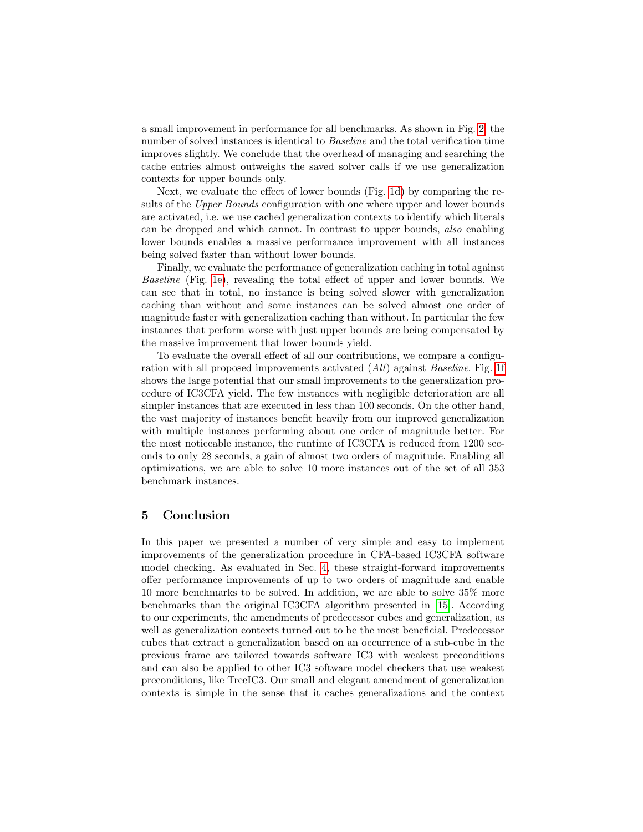a small improvement in performance for all benchmarks. As shown in Fig. [2,](#page-13-0) the number of solved instances is identical to Baseline and the total verification time improves slightly. We conclude that the overhead of managing and searching the cache entries almost outweighs the saved solver calls if we use generalization contexts for upper bounds only.

Next, we evaluate the effect of lower bounds (Fig. [1d\)](#page-12-4) by comparing the results of the *Upper Bounds* configuration with one where upper and lower bounds are activated, i.e. we use cached generalization contexts to identify which literals can be dropped and which cannot. In contrast to upper bounds, also enabling lower bounds enables a massive performance improvement with all instances being solved faster than without lower bounds.

Finally, we evaluate the performance of generalization caching in total against Baseline (Fig. [1e\)](#page-12-5), revealing the total effect of upper and lower bounds. We can see that in total, no instance is being solved slower with generalization caching than without and some instances can be solved almost one order of magnitude faster with generalization caching than without. In particular the few instances that perform worse with just upper bounds are being compensated by the massive improvement that lower bounds yield.

To evaluate the overall effect of all our contributions, we compare a configuration with all proposed improvements activated (All) against Baseline. Fig. [1f](#page-12-6) shows the large potential that our small improvements to the generalization procedure of IC3CFA yield. The few instances with negligible deterioration are all simpler instances that are executed in less than 100 seconds. On the other hand, the vast majority of instances benefit heavily from our improved generalization with multiple instances performing about one order of magnitude better. For the most noticeable instance, the runtime of IC3CFA is reduced from 1200 seconds to only 28 seconds, a gain of almost two orders of magnitude. Enabling all optimizations, we are able to solve 10 more instances out of the set of all 353 benchmark instances.

### <span id="page-14-0"></span>5 Conclusion

In this paper we presented a number of very simple and easy to implement improvements of the generalization procedure in CFA-based IC3CFA software model checking. As evaluated in Sec. [4,](#page-11-0) these straight-forward improvements offer performance improvements of up to two orders of magnitude and enable 10 more benchmarks to be solved. In addition, we are able to solve 35% more benchmarks than the original IC3CFA algorithm presented in [\[15\]](#page-15-1). According to our experiments, the amendments of predecessor cubes and generalization, as well as generalization contexts turned out to be the most beneficial. Predecessor cubes that extract a generalization based on an occurrence of a sub-cube in the previous frame are tailored towards software IC3 with weakest preconditions and can also be applied to other IC3 software model checkers that use weakest preconditions, like TreeIC3. Our small and elegant amendment of generalization contexts is simple in the sense that it caches generalizations and the context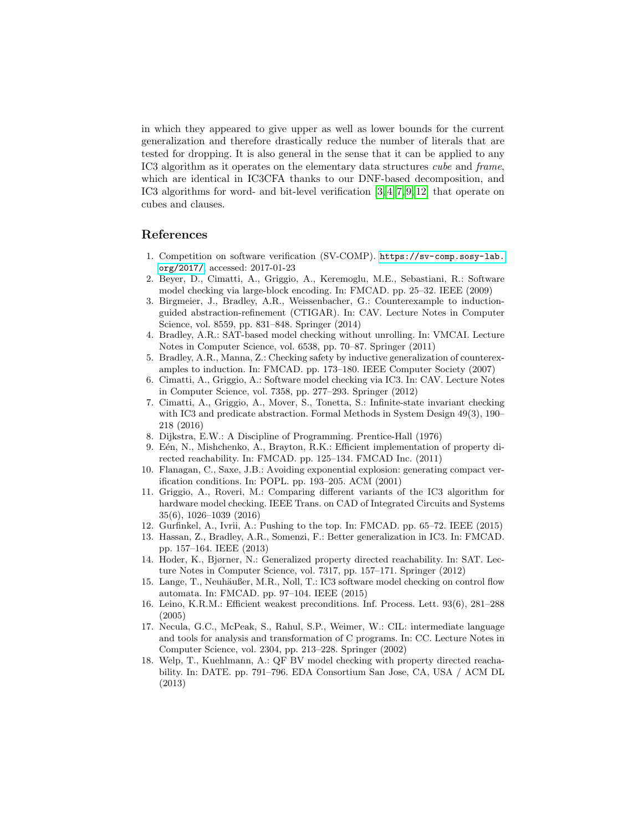in which they appeared to give upper as well as lower bounds for the current generalization and therefore drastically reduce the number of literals that are tested for dropping. It is also general in the sense that it can be applied to any IC3 algorithm as it operates on the elementary data structures cube and frame, which are identical in IC3CFA thanks to our DNF-based decomposition, and IC3 algorithms for word- and bit-level verification [\[3,](#page-15-5) [4,](#page-15-0) [7,](#page-15-8) [9,](#page-15-9) [12\]](#page-15-4) that operate on cubes and clauses.

### References

- <span id="page-15-17"></span>1. Competition on software verification (SV-COMP). [https://sv-comp.sosy-lab.](https://sv-comp.sosy-lab.org/2017/) [org/2017/](https://sv-comp.sosy-lab.org/2017/), accessed: 2017-01-23
- <span id="page-15-16"></span>2. Beyer, D., Cimatti, A., Griggio, A., Keremoglu, M.E., Sebastiani, R.: Software model checking via large-block encoding. In: FMCAD. pp. 25–32. IEEE (2009)
- <span id="page-15-5"></span>3. Birgmeier, J., Bradley, A.R., Weissenbacher, G.: Counterexample to inductionguided abstraction-refinement (CTIGAR). In: CAV. Lecture Notes in Computer Science, vol. 8559, pp. 831–848. Springer (2014)
- <span id="page-15-0"></span>4. Bradley, A.R.: SAT-based model checking without unrolling. In: VMCAI. Lecture Notes in Computer Science, vol. 6538, pp. 70–87. Springer (2011)
- <span id="page-15-10"></span>5. Bradley, A.R., Manna, Z.: Checking safety by inductive generalization of counterexamples to induction. In: FMCAD. pp. 173–180. IEEE Computer Society (2007)
- <span id="page-15-3"></span>6. Cimatti, A., Griggio, A.: Software model checking via IC3. In: CAV. Lecture Notes in Computer Science, vol. 7358, pp. 277–293. Springer (2012)
- <span id="page-15-8"></span>7. Cimatti, A., Griggio, A., Mover, S., Tonetta, S.: Infinite-state invariant checking with IC3 and predicate abstraction. Formal Methods in System Design 49(3), 190– 218 (2016)
- <span id="page-15-13"></span>8. Dijkstra, E.W.: A Discipline of Programming. Prentice-Hall (1976)
- <span id="page-15-9"></span>9. Eén, N., Mishchenko, A., Brayton, R.K.: Efficient implementation of property directed reachability. In: FMCAD. pp. 125–134. FMCAD Inc. (2011)
- <span id="page-15-11"></span>10. Flanagan, C., Saxe, J.B.: Avoiding exponential explosion: generating compact verification conditions. In: POPL. pp. 193–205. ACM (2001)
- <span id="page-15-14"></span>11. Griggio, A., Roveri, M.: Comparing different variants of the IC3 algorithm for hardware model checking. IEEE Trans. on CAD of Integrated Circuits and Systems 35(6), 1026–1039 (2016)
- <span id="page-15-4"></span>12. Gurfinkel, A., Ivrii, A.: Pushing to the top. In: FMCAD. pp. 65–72. IEEE (2015)
- <span id="page-15-2"></span>13. Hassan, Z., Bradley, A.R., Somenzi, F.: Better generalization in IC3. In: FMCAD. pp. 157–164. IEEE (2013)
- <span id="page-15-7"></span>14. Hoder, K., Bjørner, N.: Generalized property directed reachability. In: SAT. Lecture Notes in Computer Science, vol. 7317, pp. 157–171. Springer (2012)
- <span id="page-15-1"></span>15. Lange, T., Neuhäußer, M.R., Noll, T.: IC3 software model checking on control flow automata. In: FMCAD. pp. 97–104. IEEE (2015)
- <span id="page-15-12"></span>16. Leino, K.R.M.: Efficient weakest preconditions. Inf. Process. Lett. 93(6), 281–288 (2005)
- <span id="page-15-15"></span>17. Necula, G.C., McPeak, S., Rahul, S.P., Weimer, W.: CIL: intermediate language and tools for analysis and transformation of C programs. In: CC. Lecture Notes in Computer Science, vol. 2304, pp. 213–228. Springer (2002)
- <span id="page-15-6"></span>18. Welp, T., Kuehlmann, A.: QF BV model checking with property directed reachability. In: DATE. pp. 791–796. EDA Consortium San Jose, CA, USA / ACM DL (2013)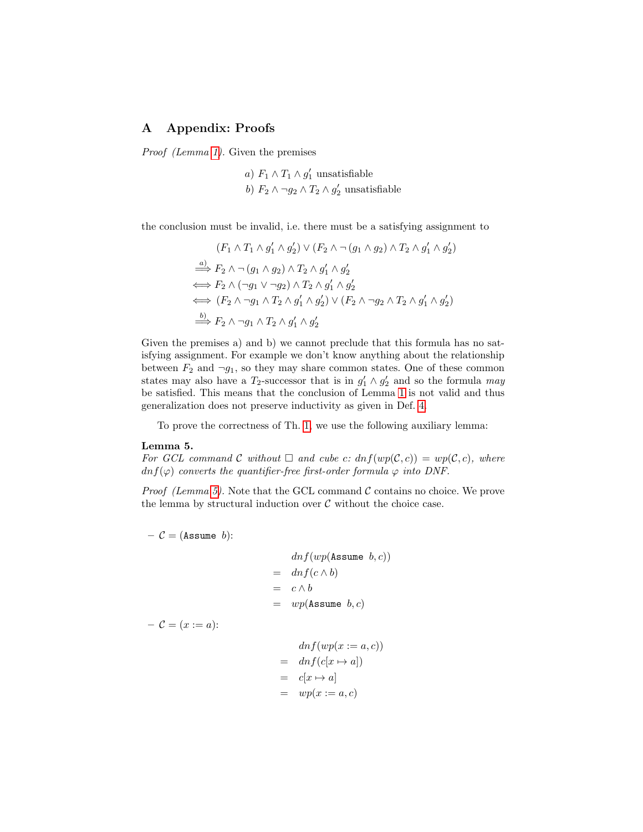## A Appendix: Proofs

Proof (Lemma [1\)](#page-2-1). Given the premises

a) 
$$
F_1 \wedge T_1 \wedge g'_1
$$
 unsatisfiable  
b)  $F_2 \wedge \neg g_2 \wedge T_2 \wedge g'_2$  unsatisfiable

the conclusion must be invalid, i.e. there must be a satisfying assignment to

$$
(F_1 \wedge T_1 \wedge g'_1 \wedge g'_2) \vee (F_2 \wedge \neg (g_1 \wedge g_2) \wedge T_2 \wedge g'_1 \wedge g'_2)
$$
  
\n
$$
\xrightarrow{a)} F_2 \wedge \neg (g_1 \wedge g_2) \wedge T_2 \wedge g'_1 \wedge g'_2
$$
  
\n
$$
\iff F_2 \wedge (\neg g_1 \vee \neg g_2) \wedge T_2 \wedge g'_1 \wedge g'_2
$$
  
\n
$$
\iff (F_2 \wedge \neg g_1 \wedge T_2 \wedge g'_1 \wedge g'_2) \vee (F_2 \wedge \neg g_2 \wedge T_2 \wedge g'_1 \wedge g'_2)
$$
  
\n
$$
\xrightarrow{b)} F_2 \wedge \neg g_1 \wedge T_2 \wedge g'_1 \wedge g'_2
$$

Given the premises a) and b) we cannot preclude that this formula has no satisfying assignment. For example we don't know anything about the relationship between  $F_2$  and  $\neg g_1$ , so they may share common states. One of these common states may also have a  $T_2$ -successor that is in  $g'_1 \wedge g'_2$  and so the formula may be satisfied. This means that the conclusion of Lemma [1](#page-2-1) is not valid and thus generalization does not preserve inductivity as given in Def. [4.](#page-2-3)

To prove the correctness of Th. [1,](#page-6-0) we use the following auxiliary lemma:

#### <span id="page-16-0"></span>Lemma 5.

For GCL command C without  $\Box$  and cube c:  $dn f(wp(C, c)) = wp(C, c)$ , where  $dnf(\varphi)$  converts the quantifier-free first-order formula  $\varphi$  into DNF.

*Proof (Lemma [5\)](#page-16-0).* Note that the GCL command  $\mathcal C$  contains no choice. We prove the lemma by structural induction over  $\mathcal C$  without the choice case.

 $-$  C = (Assume b):

$$
dnf(wp(\text{Assume } b, c))
$$
  
=  $dnf(c \wedge b)$   
=  $c \wedge b$   
=  $wp(\text{Assume } b, c)$ 

 $- C = (x := a):$ 

$$
dnf(wp(x := a, c))
$$
  
= 
$$
dnf(c[x \mapsto a])
$$
  
= 
$$
c[x \mapsto a]
$$
  
= 
$$
wp(x := a, c)
$$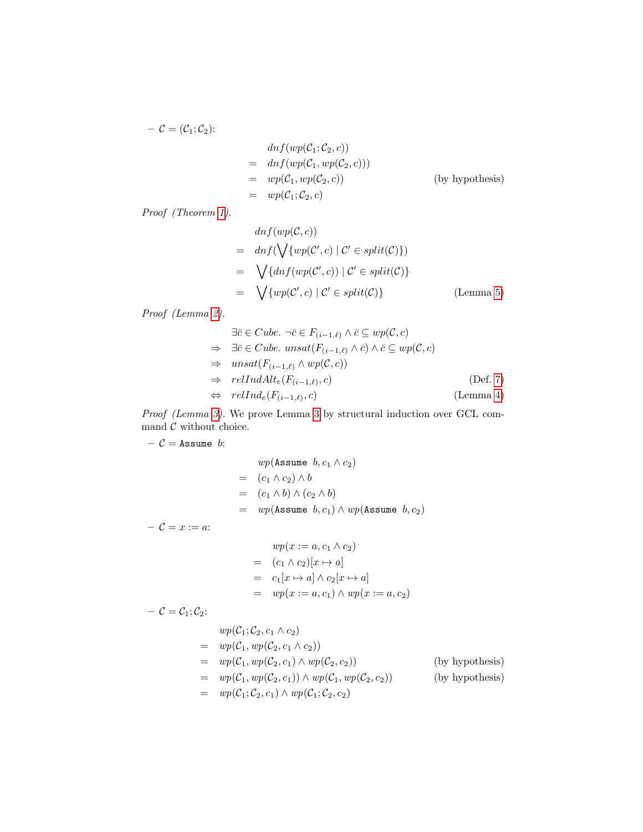$$
C = (C_1; C_2):
$$
  
\n
$$
= \frac{dnf(wp(C_1; C_2, c))}{drf(wp(C_1, wp(C_2, c)))}
$$
  
\n
$$
= \frac{wp(C_1, wp(C_2, c))}{wp(C_1; C_2, c)}
$$
 (by hypothesis)  
\n
$$
= \frac{wp(C_1; C_2, c)}{wp(C_1; C_2, c)}
$$

Proof (Theorem [1\)](#page-6-0).

$$
dnf(wp(C, c))
$$
  
=  $dnf(\bigvee \{wp(C', c) | C' \in split(C)\})$   
=  $\bigvee \{dnf(wp(C', c)) | C' \in split(C)\}$   
=  $\bigvee \{wp(C', c) | C' \in split(C)\}$  (Lemma 5)

Proof (Lemma [2\)](#page-7-0).

$$
\exists \bar{c} \in Cube. \ \neg \bar{c} \in F_{(i-1,\ell)} \land \bar{c} \subseteq wp(\mathcal{C}, c)
$$
\n
$$
\Rightarrow \exists \bar{c} \in Cube. \ unsat(F_{(i-1,\ell)} \land \bar{c}) \land \bar{c} \subseteq wp(\mathcal{C}, c)
$$
\n
$$
\Rightarrow \ unsat(F_{(i-1,\ell)} \land wp(\mathcal{C}, c))
$$
\n
$$
\Rightarrow \text{relIndAlt}_{e}(F_{(i-1,\ell)}, c) \qquad \text{(Def. 7)}
$$
\n
$$
\Rightarrow \text{relInd}_{e}(F_{(i-1,\ell)}, c) \qquad \text{(Lemma 4)}
$$

Proof (Lemma [3\)](#page-7-1). We prove Lemma [3](#page-7-1) by structural induction over GCL command  $\mathcal C$  without choice.

 $C =$  Assume b:

$$
wp(\text{Assume } b, c_1 \wedge c_2)
$$
  
=  $(c_1 \wedge c_2) \wedge b$   
=  $(c_1 \wedge b) \wedge (c_2 \wedge b)$   
=  $wp(\text{Assume } b, c_1) \wedge wp(\text{Assume } b, c_2)$ 

 $-\mathcal{C} = x := a$ :

$$
wp(x := a, c_1 \wedge c_2)
$$
  
=  $(c_1 \wedge c_2)[x \mapsto a]$   
=  $c_1[x \mapsto a] \wedge c_2[x \mapsto a]$   
=  $wp(x := a, c_1) \wedge wp(x := a, c_2)$ 

–  $\mathcal{C} = \mathcal{C}_1; \mathcal{C}_2$ :

$$
wp(C_1; C_2, c_1 \wedge c_2)
$$
  
= 
$$
wp(C_1, wp(C_2, c_1 \wedge c_2))
$$
  
= 
$$
wp(C_1, wp(C_2, c_1) \wedge wp(C_2, c_2))
$$
 (by hypothesis)  
= 
$$
wp(C_1; C_2, c_1) \wedge wp(C_1; wp(C_2, c_2))
$$
 (by hypothesis)  
= 
$$
wp(C_1; C_2, c_1) \wedge wp(C_1; C_2, c_2)
$$